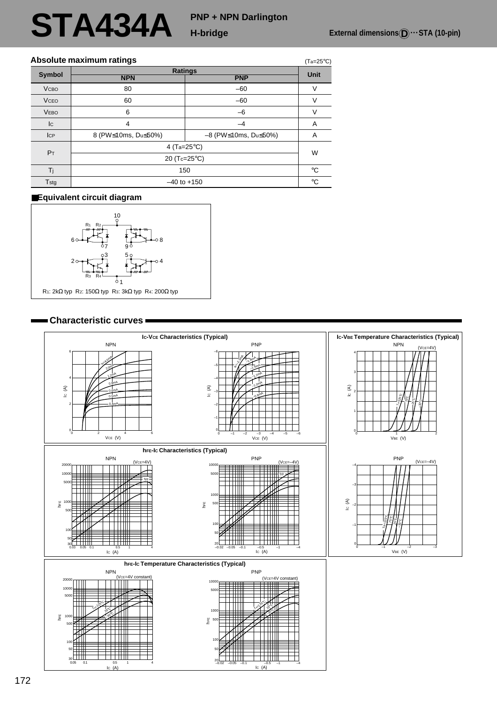# **STA434A**

## **PNP + NPN Darlington**

(Ta=25°C)

### **Absolute maximum ratings**

| <b>Symbol</b>  | Ratings                |                                      |             |  |  |  |  |
|----------------|------------------------|--------------------------------------|-------------|--|--|--|--|
|                | <b>NPN</b>             | <b>PNP</b>                           | <b>Unit</b> |  |  |  |  |
| <b>VCBO</b>    | 80                     | $-60$                                |             |  |  |  |  |
| <b>VCEO</b>    | 60                     | $-60$                                |             |  |  |  |  |
| <b>VEBO</b>    | 6                      | $-6$                                 | V           |  |  |  |  |
| c              | 4                      | $-4$                                 | A           |  |  |  |  |
| <b>ICP</b>     | 8 (PW≤10ms, Du≤50%)    | $-8$ (PW $\leq$ 10ms, Du $\leq$ 50%) | A           |  |  |  |  |
| P <sub>T</sub> | 4 (Ta=25 $^{\circ}$ C) |                                      |             |  |  |  |  |
|                | 20 (Tc=25°C)           |                                      |             |  |  |  |  |
| Ti             | 150                    |                                      |             |  |  |  |  |
| Tstg           | $-40$ to $+150$        |                                      |             |  |  |  |  |

#### ■**Equivalent circuit diagram**



#### **Characteristic curves**